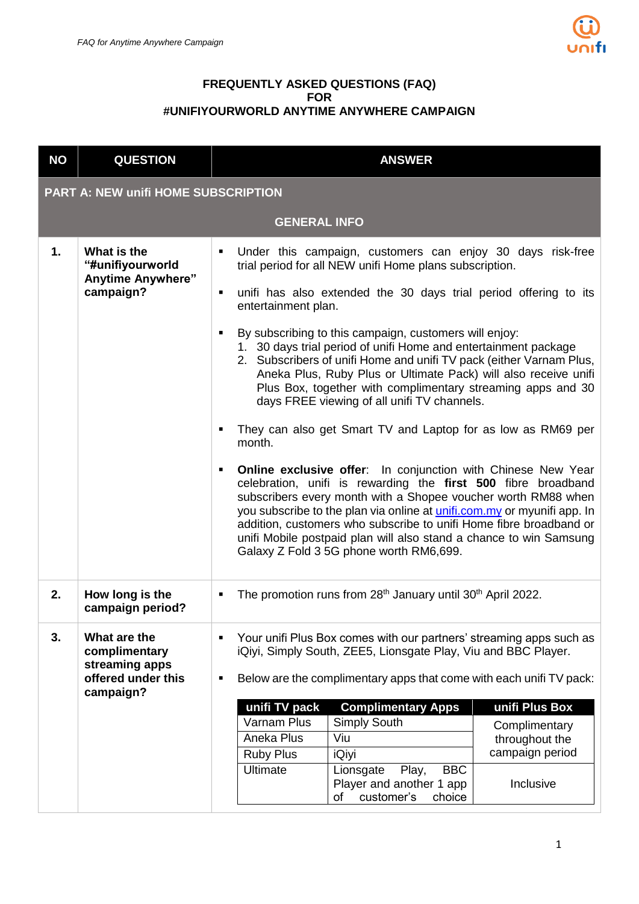

## **FREQUENTLY ASKED QUESTIONS (FAQ) FOR #UNIFIYOURWORLD ANYTIME ANYWHERE CAMPAIGN**

| <b>NO</b> | <b>QUESTION</b>                                                                    | <b>ANSWER</b>                                                                                                                                                                                                                                                                                                                                                                                                                                                                                                                                                                                                                                                                                                                                                                                                                                                                                                                                                                                                                                                                                                                                                                    |  |  |  |  |  |
|-----------|------------------------------------------------------------------------------------|----------------------------------------------------------------------------------------------------------------------------------------------------------------------------------------------------------------------------------------------------------------------------------------------------------------------------------------------------------------------------------------------------------------------------------------------------------------------------------------------------------------------------------------------------------------------------------------------------------------------------------------------------------------------------------------------------------------------------------------------------------------------------------------------------------------------------------------------------------------------------------------------------------------------------------------------------------------------------------------------------------------------------------------------------------------------------------------------------------------------------------------------------------------------------------|--|--|--|--|--|
|           | <b>PART A: NEW unifi HOME SUBSCRIPTION</b>                                         |                                                                                                                                                                                                                                                                                                                                                                                                                                                                                                                                                                                                                                                                                                                                                                                                                                                                                                                                                                                                                                                                                                                                                                                  |  |  |  |  |  |
|           |                                                                                    | <b>GENERAL INFO</b>                                                                                                                                                                                                                                                                                                                                                                                                                                                                                                                                                                                                                                                                                                                                                                                                                                                                                                                                                                                                                                                                                                                                                              |  |  |  |  |  |
| 1.        | What is the<br>"#unifiyourworld<br><b>Anytime Anywhere"</b><br>campaign?           | Under this campaign, customers can enjoy 30 days risk-free<br>trial period for all NEW unifi Home plans subscription.<br>unifi has also extended the 30 days trial period offering to its<br>٠<br>entertainment plan.<br>By subscribing to this campaign, customers will enjoy:<br>٠<br>1. 30 days trial period of unifi Home and entertainment package<br>2. Subscribers of unifi Home and unifi TV pack (either Varnam Plus,<br>Aneka Plus, Ruby Plus or Ultimate Pack) will also receive unifi<br>Plus Box, together with complimentary streaming apps and 30<br>days FREE viewing of all unifi TV channels.<br>They can also get Smart TV and Laptop for as low as RM69 per<br>month.<br><b>Online exclusive offer:</b> In conjunction with Chinese New Year<br>٠<br>celebration, unifi is rewarding the first 500 fibre broadband<br>subscribers every month with a Shopee voucher worth RM88 when<br>you subscribe to the plan via online at <i>unifi.com.my</i> or myunifi app. In<br>addition, customers who subscribe to unifi Home fibre broadband or<br>unifi Mobile postpaid plan will also stand a chance to win Samsung<br>Galaxy Z Fold 3 5G phone worth RM6,699. |  |  |  |  |  |
| 2.        | How long is the<br>campaign period?                                                | The promotion runs from 28 <sup>th</sup> January until 30 <sup>th</sup> April 2022.                                                                                                                                                                                                                                                                                                                                                                                                                                                                                                                                                                                                                                                                                                                                                                                                                                                                                                                                                                                                                                                                                              |  |  |  |  |  |
| 3.        | What are the<br>complimentary<br>streaming apps<br>offered under this<br>campaign? | Your unifi Plus Box comes with our partners' streaming apps such as<br>iQiyi, Simply South, ZEE5, Lionsgate Play, Viu and BBC Player.<br>Below are the complimentary apps that come with each unifi TV pack:<br>unifi TV pack<br><b>Complimentary Apps</b><br>unifi Plus Box<br>Varnam Plus<br><b>Simply South</b><br>Complimentary<br>Aneka Plus<br>Viu<br>throughout the<br>campaign period<br><b>Ruby Plus</b><br><i><b>iQiyi</b></i><br><b>Ultimate</b><br>Play,<br><b>BBC</b><br>Lionsgate<br>Player and another 1 app<br>Inclusive<br>customer's<br>choice<br>of                                                                                                                                                                                                                                                                                                                                                                                                                                                                                                                                                                                                           |  |  |  |  |  |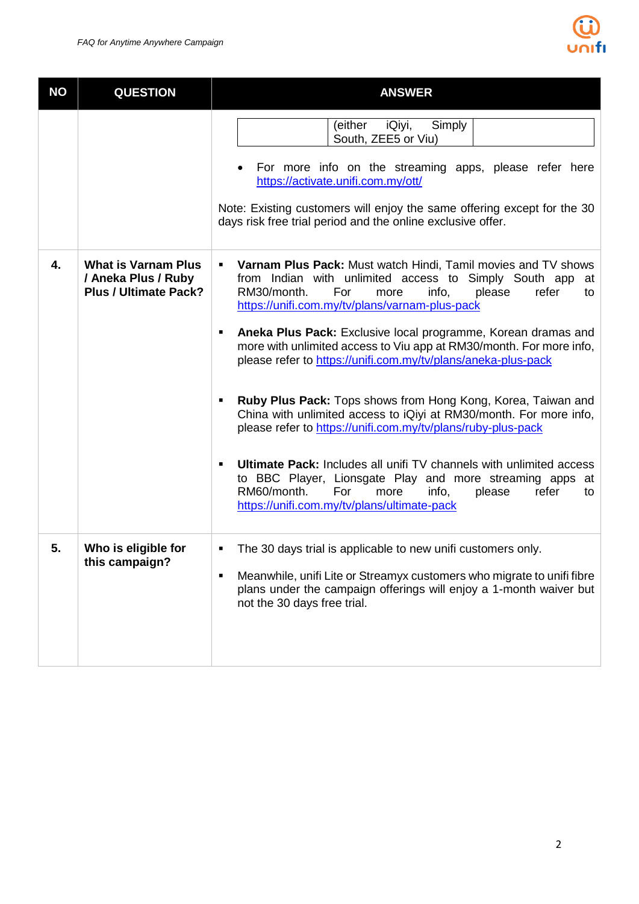

| <b>NO</b> | <b>QUESTION</b>                                                                   | <b>ANSWER</b>                                                                                                                                                                                                                                                                                                                                                                                                                                                                                                                                                                                                                                                                                                                                                                                                                                                                                                                              |
|-----------|-----------------------------------------------------------------------------------|--------------------------------------------------------------------------------------------------------------------------------------------------------------------------------------------------------------------------------------------------------------------------------------------------------------------------------------------------------------------------------------------------------------------------------------------------------------------------------------------------------------------------------------------------------------------------------------------------------------------------------------------------------------------------------------------------------------------------------------------------------------------------------------------------------------------------------------------------------------------------------------------------------------------------------------------|
|           |                                                                                   | (either<br>iQiyi,<br>Simply<br>South, ZEE5 or Viu)<br>For more info on the streaming apps, please refer here<br>https://activate.unifi.com.my/ott/<br>Note: Existing customers will enjoy the same offering except for the 30<br>days risk free trial period and the online exclusive offer.                                                                                                                                                                                                                                                                                                                                                                                                                                                                                                                                                                                                                                               |
| 4.        | <b>What is Varnam Plus</b><br>/ Aneka Plus / Ruby<br><b>Plus / Ultimate Pack?</b> | Varnam Plus Pack: Must watch Hindi, Tamil movies and TV shows<br>٠<br>from Indian with unlimited access to Simply South app<br>at<br>RM30/month.<br>For<br>info,<br>please<br>refer<br>more<br>to<br>https://unifi.com.my/tv/plans/varnam-plus-pack<br>Aneka Plus Pack: Exclusive local programme, Korean dramas and<br>٠<br>more with unlimited access to Viu app at RM30/month. For more info,<br>please refer to https://unifi.com.my/tv/plans/aneka-plus-pack<br>Ruby Plus Pack: Tops shows from Hong Kong, Korea, Taiwan and<br>٠<br>China with unlimited access to iQiyi at RM30/month. For more info,<br>please refer to https://unifi.com.my/tv/plans/ruby-plus-pack<br><b>Ultimate Pack: Includes all unifi TV channels with unlimited access</b><br>٠<br>to BBC Player, Lionsgate Play and more streaming apps at<br>RM60/month.<br>info,<br>For<br>more<br>please<br>refer<br>to<br>https://unifi.com.my/tv/plans/ultimate-pack |
| 5.        | Who is eligible for<br>this campaign?                                             | The 30 days trial is applicable to new unifi customers only.<br>٠<br>Meanwhile, unifi Lite or Streamyx customers who migrate to unifi fibre<br>٠<br>plans under the campaign offerings will enjoy a 1-month waiver but<br>not the 30 days free trial.                                                                                                                                                                                                                                                                                                                                                                                                                                                                                                                                                                                                                                                                                      |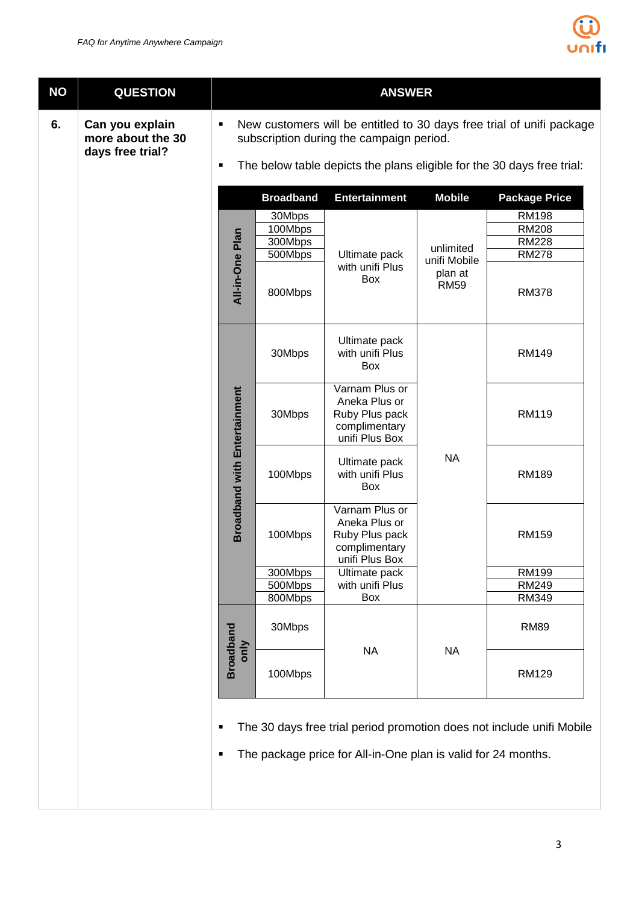

| <b>NO</b> | <b>QUESTION</b>                                          |                                                                                                                        | <b>ANSWER</b>                                      |                                                                                      |                                                     |                                                                              |  |
|-----------|----------------------------------------------------------|------------------------------------------------------------------------------------------------------------------------|----------------------------------------------------|--------------------------------------------------------------------------------------|-----------------------------------------------------|------------------------------------------------------------------------------|--|
| 6.        | Can you explain<br>more about the 30<br>days free trial? | New customers will be entitled to 30 days free trial of unifi package<br>٠<br>subscription during the campaign period. |                                                    |                                                                                      |                                                     |                                                                              |  |
|           |                                                          | $\blacksquare$                                                                                                         |                                                    |                                                                                      |                                                     | The below table depicts the plans eligible for the 30 days free trial:       |  |
|           |                                                          |                                                                                                                        | <b>Package Price</b>                               |                                                                                      |                                                     |                                                                              |  |
|           |                                                          | All-in-One Plan                                                                                                        | 30Mbps<br>100Mbps<br>300Mbps<br>500Mbps<br>800Mbps | Ultimate pack<br>with unifi Plus<br>Box                                              | unlimited<br>unifi Mobile<br>plan at<br><b>RM59</b> | <b>RM198</b><br><b>RM208</b><br><b>RM228</b><br><b>RM278</b><br><b>RM378</b> |  |
|           |                                                          |                                                                                                                        | 30Mbps                                             | Ultimate pack<br>with unifi Plus<br>Box                                              |                                                     | <b>RM149</b>                                                                 |  |
|           |                                                          | <b>Broadband with Entertainment</b>                                                                                    | 30Mbps                                             | Varnam Plus or<br>Aneka Plus or<br>Ruby Plus pack<br>complimentary<br>unifi Plus Box |                                                     | <b>RM119</b>                                                                 |  |
|           |                                                          |                                                                                                                        | 100Mbps                                            | Ultimate pack<br>with unifi Plus<br>Box                                              | <b>NA</b>                                           | <b>RM189</b>                                                                 |  |
|           |                                                          |                                                                                                                        | 100Mbps                                            | Varnam Plus or<br>Aneka Plus or<br>Ruby Plus pack<br>complimentary<br>unifi Plus Box |                                                     | <b>RM159</b>                                                                 |  |
|           |                                                          |                                                                                                                        | 300Mbps                                            | Ultimate pack                                                                        |                                                     | <b>RM199</b>                                                                 |  |
|           |                                                          |                                                                                                                        | 500Mbps<br>800Mbps                                 | with unifi Plus<br>Box                                                               |                                                     | RM249<br>RM349                                                               |  |
|           |                                                          |                                                                                                                        | 30Mbps                                             |                                                                                      |                                                     | <b>RM89</b>                                                                  |  |
|           |                                                          | <b>Broadband</b><br>only                                                                                               | 100Mbps                                            | <b>NA</b>                                                                            | <b>NA</b>                                           | <b>RM129</b>                                                                 |  |
|           |                                                          | ٠                                                                                                                      |                                                    |                                                                                      |                                                     | The 30 days free trial period promotion does not include unifi Mobile        |  |

• The package price for All-in-One plan is valid for 24 months.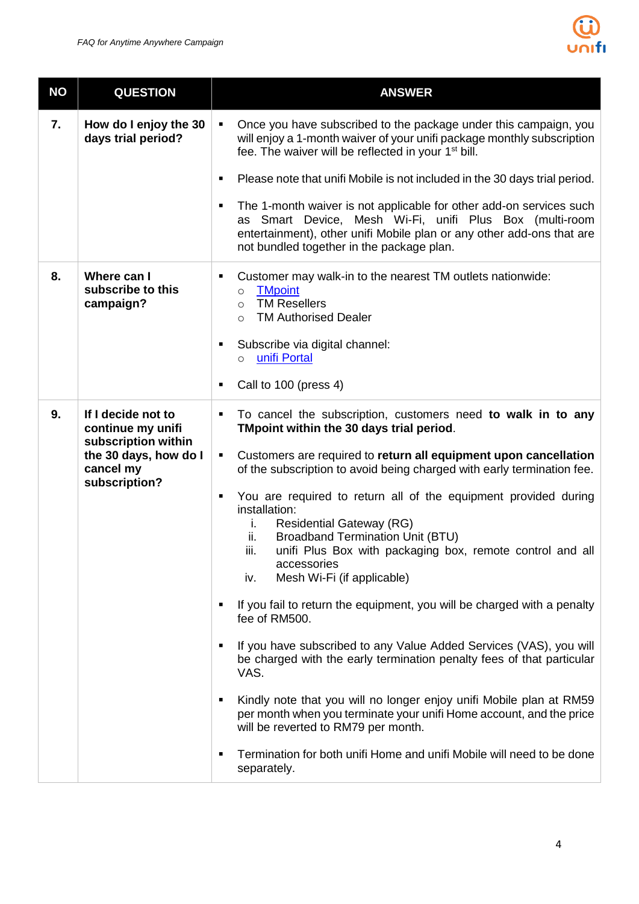

| <b>NO</b> | <b>QUESTION</b>                                                                                                       | <b>ANSWER</b>                                                                                                                                                                                                                                                                                                                                                                                                                                                                                                                                                                                                                                                                                                                                                                                                                                                                                                                                                                                                                                                                                                                        |  |  |  |
|-----------|-----------------------------------------------------------------------------------------------------------------------|--------------------------------------------------------------------------------------------------------------------------------------------------------------------------------------------------------------------------------------------------------------------------------------------------------------------------------------------------------------------------------------------------------------------------------------------------------------------------------------------------------------------------------------------------------------------------------------------------------------------------------------------------------------------------------------------------------------------------------------------------------------------------------------------------------------------------------------------------------------------------------------------------------------------------------------------------------------------------------------------------------------------------------------------------------------------------------------------------------------------------------------|--|--|--|
| 7.        | How do I enjoy the 30<br>days trial period?                                                                           | Once you have subscribed to the package under this campaign, you<br>$\blacksquare$<br>will enjoy a 1-month waiver of your unifi package monthly subscription<br>fee. The waiver will be reflected in your 1 <sup>st</sup> bill.<br>Please note that unifi Mobile is not included in the 30 days trial period.<br>٠<br>The 1-month waiver is not applicable for other add-on services such<br>٠<br>as Smart Device, Mesh Wi-Fi, unifi Plus Box (multi-room<br>entertainment), other unifi Mobile plan or any other add-ons that are<br>not bundled together in the package plan.                                                                                                                                                                                                                                                                                                                                                                                                                                                                                                                                                      |  |  |  |
| 8.        | Where can I<br>subscribe to this<br>campaign?                                                                         | Customer may walk-in to the nearest TM outlets nationwide:<br><b>TMpoint</b><br>$\circ$<br><b>TM Resellers</b><br>$\circ$<br><b>TM Authorised Dealer</b><br>$\circ$<br>Subscribe via digital channel:<br>unifi Portal<br>$\circ$<br>Call to 100 (press 4)                                                                                                                                                                                                                                                                                                                                                                                                                                                                                                                                                                                                                                                                                                                                                                                                                                                                            |  |  |  |
| 9.        | If I decide not to<br>continue my unifi<br>subscription within<br>the 30 days, how do I<br>cancel my<br>subscription? | To cancel the subscription, customers need to walk in to any<br>$\blacksquare$<br>TMpoint within the 30 days trial period.<br>Customers are required to return all equipment upon cancellation<br>٠<br>of the subscription to avoid being charged with early termination fee.<br>You are required to return all of the equipment provided during<br>٠<br>installation:<br><b>Residential Gateway (RG)</b><br>Ĺ.<br><b>Broadband Termination Unit (BTU)</b><br>ii.<br>iii.<br>unifi Plus Box with packaging box, remote control and all<br>accessories<br>Mesh Wi-Fi (if applicable)<br>iv.<br>If you fail to return the equipment, you will be charged with a penalty<br>fee of RM500.<br>If you have subscribed to any Value Added Services (VAS), you will<br>п<br>be charged with the early termination penalty fees of that particular<br>VAS.<br>Kindly note that you will no longer enjoy unifi Mobile plan at RM59<br>٠<br>per month when you terminate your unifi Home account, and the price<br>will be reverted to RM79 per month.<br>Termination for both unifi Home and unifi Mobile will need to be done<br>separately. |  |  |  |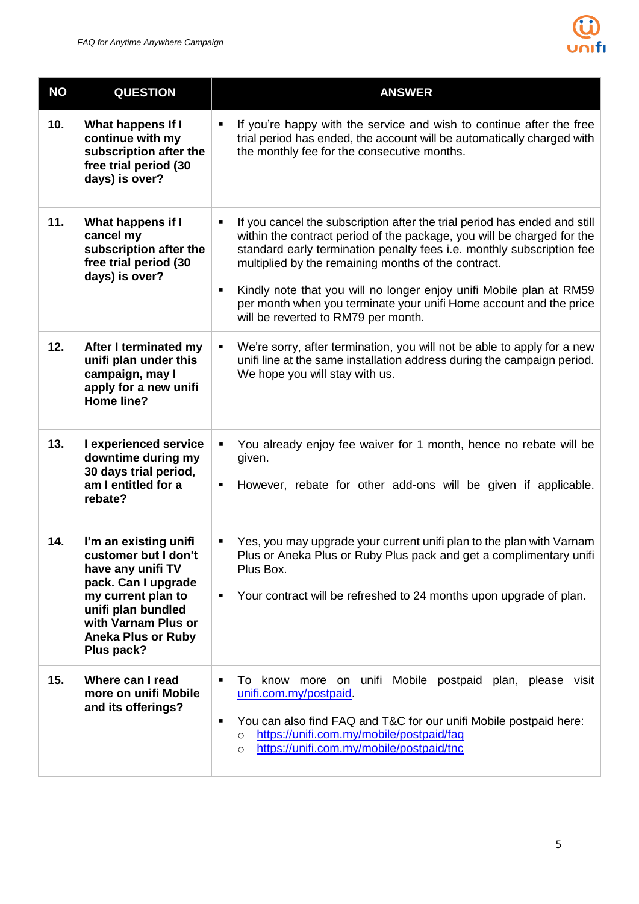

| <b>NO</b> | <b>QUESTION</b>                                                                                                                                                                                         | <b>ANSWER</b>                                                                                                                                                                                                                                                                                                                                                                                                                                                                                  |  |  |  |
|-----------|---------------------------------------------------------------------------------------------------------------------------------------------------------------------------------------------------------|------------------------------------------------------------------------------------------------------------------------------------------------------------------------------------------------------------------------------------------------------------------------------------------------------------------------------------------------------------------------------------------------------------------------------------------------------------------------------------------------|--|--|--|
| 10.       | What happens If I<br>continue with my<br>subscription after the<br>free trial period (30<br>days) is over?                                                                                              | If you're happy with the service and wish to continue after the free<br>٠<br>trial period has ended, the account will be automatically charged with<br>the monthly fee for the consecutive months.                                                                                                                                                                                                                                                                                             |  |  |  |
| 11.       | What happens if I<br>cancel my<br>subscription after the<br>free trial period (30<br>days) is over?                                                                                                     | If you cancel the subscription after the trial period has ended and still<br>$\blacksquare$<br>within the contract period of the package, you will be charged for the<br>standard early termination penalty fees i.e. monthly subscription fee<br>multiplied by the remaining months of the contract.<br>Kindly note that you will no longer enjoy unifi Mobile plan at RM59<br>٠<br>per month when you terminate your unifi Home account and the price<br>will be reverted to RM79 per month. |  |  |  |
| 12.       | After I terminated my<br>unifi plan under this<br>campaign, may I<br>apply for a new unifi<br><b>Home line?</b>                                                                                         | We're sorry, after termination, you will not be able to apply for a new<br>$\blacksquare$<br>unifi line at the same installation address during the campaign period.<br>We hope you will stay with us.                                                                                                                                                                                                                                                                                         |  |  |  |
| 13.       | I experienced service<br>downtime during my<br>30 days trial period,<br>am I entitled for a<br>rebate?                                                                                                  | You already enjoy fee waiver for 1 month, hence no rebate will be<br>given.<br>However, rebate for other add-ons will be given if applicable.                                                                                                                                                                                                                                                                                                                                                  |  |  |  |
| 14.       | I'm an existing unifi<br>customer but I don't<br>have any unifi TV<br>pack. Can I upgrade<br>my current plan to<br>unifi plan bundled<br>with Varnam Plus or<br><b>Aneka Plus or Ruby</b><br>Plus pack? | Yes, you may upgrade your current unifi plan to the plan with Varnam<br>٠<br>Plus or Aneka Plus or Ruby Plus pack and get a complimentary unifi<br>Plus Box.<br>Your contract will be refreshed to 24 months upon upgrade of plan.<br>٠                                                                                                                                                                                                                                                        |  |  |  |
| 15.       | Where can I read<br>more on unifi Mobile<br>and its offerings?                                                                                                                                          | unifi Mobile postpaid plan, please visit<br>know more on<br>10<br>п<br>unifi.com.my/postpaid.<br>You can also find FAQ and T&C for our unifi Mobile postpaid here:<br>٠<br>https://unifi.com.my/mobile/postpaid/faq<br>$\circ$<br>https://unifi.com.my/mobile/postpaid/tnc<br>$\circ$                                                                                                                                                                                                          |  |  |  |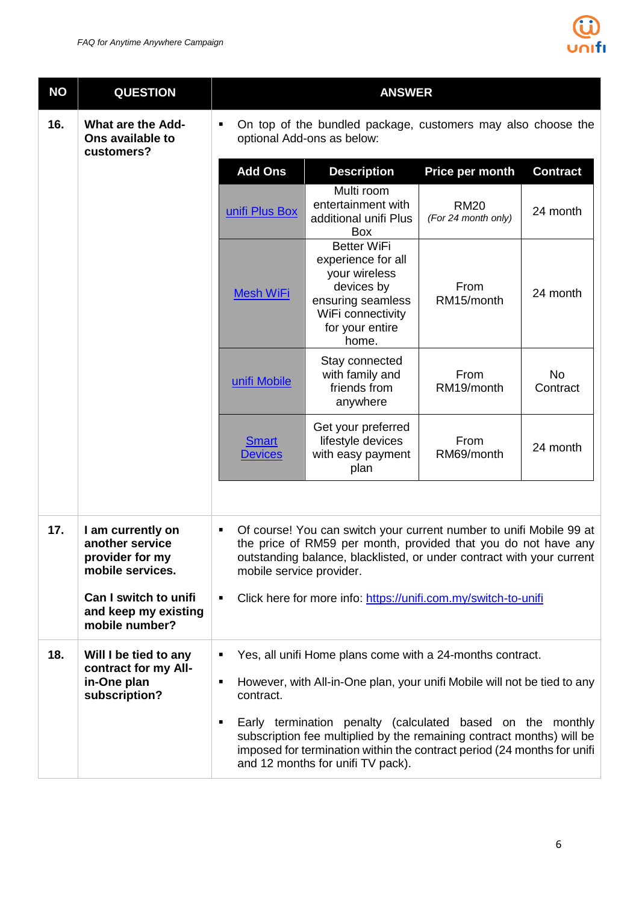

| <b>NO</b> | <b>QUESTION</b>                                                             | <b>ANSWER</b>                                                                                                                                                                                                                                                                                                                                                                                                                         |                                                                                                                                                                                                                |                                    |                       |  |
|-----------|-----------------------------------------------------------------------------|---------------------------------------------------------------------------------------------------------------------------------------------------------------------------------------------------------------------------------------------------------------------------------------------------------------------------------------------------------------------------------------------------------------------------------------|----------------------------------------------------------------------------------------------------------------------------------------------------------------------------------------------------------------|------------------------------------|-----------------------|--|
| 16.       | <b>What are the Add-</b><br>Ons available to<br>customers?                  | On top of the bundled package, customers may also choose the<br>٠<br>optional Add-ons as below:                                                                                                                                                                                                                                                                                                                                       |                                                                                                                                                                                                                |                                    |                       |  |
|           |                                                                             | <b>Add Ons</b>                                                                                                                                                                                                                                                                                                                                                                                                                        | <b>Description</b>                                                                                                                                                                                             | Price per month                    | <b>Contract</b>       |  |
|           |                                                                             | unifi Plus Box                                                                                                                                                                                                                                                                                                                                                                                                                        | Multi room<br>entertainment with<br>additional unifi Plus<br>Box                                                                                                                                               | <b>RM20</b><br>(For 24 month only) | 24 month              |  |
|           |                                                                             | <b>Mesh WiFi</b>                                                                                                                                                                                                                                                                                                                                                                                                                      | <b>Better WiFi</b><br>experience for all<br>your wireless<br>devices by<br>ensuring seamless<br>WiFi connectivity<br>for your entire<br>home.                                                                  | From<br>RM15/month                 | 24 month              |  |
|           |                                                                             | unifi Mobile                                                                                                                                                                                                                                                                                                                                                                                                                          | Stay connected<br>with family and<br>friends from<br>anywhere                                                                                                                                                  | From<br>RM19/month                 | <b>No</b><br>Contract |  |
|           |                                                                             | <b>Smart</b><br><b>Devices</b>                                                                                                                                                                                                                                                                                                                                                                                                        | Get your preferred<br>lifestyle devices<br>with easy payment<br>plan                                                                                                                                           | From<br>RM69/month                 | 24 month              |  |
|           |                                                                             |                                                                                                                                                                                                                                                                                                                                                                                                                                       |                                                                                                                                                                                                                |                                    |                       |  |
| 17.       | I am currently on<br>another service<br>provider for my<br>mobile services. | ٠<br>mobile service provider.                                                                                                                                                                                                                                                                                                                                                                                                         | Of course! You can switch your current number to unifi Mobile 99 at<br>the price of RM59 per month, provided that you do not have any<br>outstanding balance, blacklisted, or under contract with your current |                                    |                       |  |
|           | Can I switch to unifi<br>and keep my existing<br>mobile number?             | Click here for more info: https://unifi.com.my/switch-to-unifi<br>$\blacksquare$                                                                                                                                                                                                                                                                                                                                                      |                                                                                                                                                                                                                |                                    |                       |  |
| 18.       | Will I be tied to any                                                       | Yes, all unifi Home plans come with a 24-months contract.<br>$\blacksquare$<br>However, with All-in-One plan, your unifi Mobile will not be tied to any<br>٠<br>contract.<br>Early termination penalty (calculated based on the monthly<br>٠<br>subscription fee multiplied by the remaining contract months) will be<br>imposed for termination within the contract period (24 months for unifi<br>and 12 months for unifi TV pack). |                                                                                                                                                                                                                |                                    |                       |  |
|           | contract for my All-<br>in-One plan<br>subscription?                        |                                                                                                                                                                                                                                                                                                                                                                                                                                       |                                                                                                                                                                                                                |                                    |                       |  |
|           |                                                                             |                                                                                                                                                                                                                                                                                                                                                                                                                                       |                                                                                                                                                                                                                |                                    |                       |  |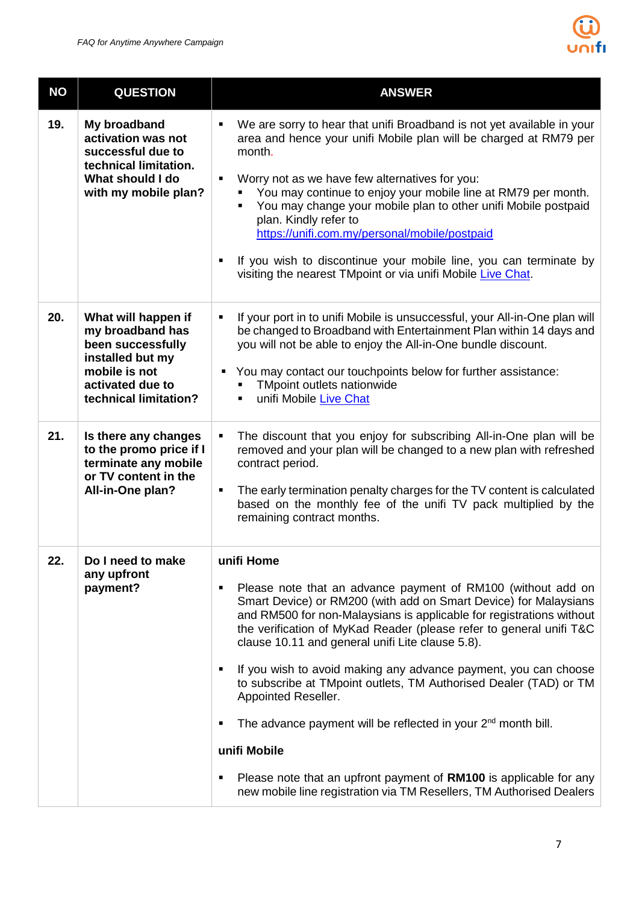

| <b>NO</b> | <b>QUESTION</b>                                                                                                                                | <b>ANSWER</b>                                                                                                                                                                                                                                                                                                                                                                                                                                                                                                                                                                                                                                                                                                                                                    |  |  |  |
|-----------|------------------------------------------------------------------------------------------------------------------------------------------------|------------------------------------------------------------------------------------------------------------------------------------------------------------------------------------------------------------------------------------------------------------------------------------------------------------------------------------------------------------------------------------------------------------------------------------------------------------------------------------------------------------------------------------------------------------------------------------------------------------------------------------------------------------------------------------------------------------------------------------------------------------------|--|--|--|
| 19.       | My broadband<br>activation was not<br>successful due to<br>technical limitation.<br>What should I do<br>with my mobile plan?                   | We are sorry to hear that unifi Broadband is not yet available in your<br>٠<br>area and hence your unifi Mobile plan will be charged at RM79 per<br>month.<br>Worry not as we have few alternatives for you:<br>٠<br>You may continue to enjoy your mobile line at RM79 per month.<br>You may change your mobile plan to other unifi Mobile postpaid<br>plan. Kindly refer to<br>https://unifi.com.my/personal/mobile/postpaid<br>If you wish to discontinue your mobile line, you can terminate by<br>visiting the nearest TMpoint or via unifi Mobile Live Chat.                                                                                                                                                                                               |  |  |  |
| 20.       | What will happen if<br>my broadband has<br>been successfully<br>installed but my<br>mobile is not<br>activated due to<br>technical limitation? | If your port in to unifi Mobile is unsuccessful, your All-in-One plan will<br>٠<br>be changed to Broadband with Entertainment Plan within 14 days and<br>you will not be able to enjoy the All-in-One bundle discount.<br>You may contact our touchpoints below for further assistance:<br>٠<br>TMpoint outlets nationwide<br>unifi Mobile Live Chat                                                                                                                                                                                                                                                                                                                                                                                                             |  |  |  |
| 21.       | Is there any changes<br>to the promo price if I<br>terminate any mobile<br>or TV content in the<br>All-in-One plan?                            | The discount that you enjoy for subscribing All-in-One plan will be<br>٠<br>removed and your plan will be changed to a new plan with refreshed<br>contract period.<br>The early termination penalty charges for the TV content is calculated<br>п<br>based on the monthly fee of the unifi TV pack multiplied by the<br>remaining contract months.                                                                                                                                                                                                                                                                                                                                                                                                               |  |  |  |
| 22.       | Do I need to make<br>any upfront<br>payment?                                                                                                   | unifi Home<br>Please note that an advance payment of RM100 (without add on<br>Smart Device) or RM200 (with add on Smart Device) for Malaysians<br>and RM500 for non-Malaysians is applicable for registrations without<br>the verification of MyKad Reader (please refer to general unifi T&C<br>clause 10.11 and general unifi Lite clause 5.8).<br>If you wish to avoid making any advance payment, you can choose<br>to subscribe at TMpoint outlets, TM Authorised Dealer (TAD) or TM<br>Appointed Reseller.<br>The advance payment will be reflected in your 2 <sup>nd</sup> month bill.<br>unifi Mobile<br>Please note that an upfront payment of RM100 is applicable for any<br>٠<br>new mobile line registration via TM Resellers, TM Authorised Dealers |  |  |  |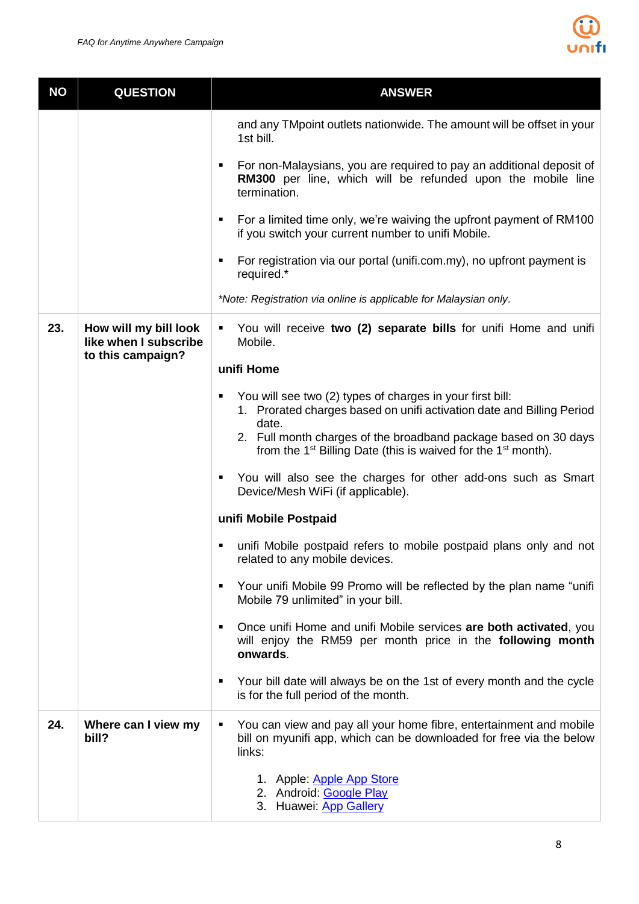

| <b>NO</b> | <b>QUESTION</b>                                                     | <b>ANSWER</b>                                                                                                                                            |  |  |
|-----------|---------------------------------------------------------------------|----------------------------------------------------------------------------------------------------------------------------------------------------------|--|--|
|           |                                                                     | and any TM point outlets nationwide. The amount will be offset in your<br>1st bill.                                                                      |  |  |
|           |                                                                     | For non-Malaysians, you are required to pay an additional deposit of<br>٠<br>RM300 per line, which will be refunded upon the mobile line<br>termination. |  |  |
|           |                                                                     | For a limited time only, we're waiving the upfront payment of RM100<br>٠<br>if you switch your current number to unifi Mobile.                           |  |  |
|           |                                                                     | For registration via our portal (unifi.com.my), no upfront payment is<br>٠<br>required.*                                                                 |  |  |
|           |                                                                     | *Note: Registration via online is applicable for Malaysian only.                                                                                         |  |  |
| 23.       | How will my bill look<br>like when I subscribe<br>to this campaign? | You will receive two (2) separate bills for unifi Home and unifi<br>٠<br>Mobile.                                                                         |  |  |
|           |                                                                     | unifi Home                                                                                                                                               |  |  |
|           |                                                                     | You will see two (2) types of charges in your first bill:<br>٠<br>1. Prorated charges based on unifi activation date and Billing Period<br>date.         |  |  |
|           |                                                                     | 2. Full month charges of the broadband package based on 30 days<br>from the 1 <sup>st</sup> Billing Date (this is waived for the 1 <sup>st</sup> month). |  |  |
|           |                                                                     | You will also see the charges for other add-ons such as Smart<br>٠<br>Device/Mesh WiFi (if applicable).                                                  |  |  |
|           |                                                                     | unifi Mobile Postpaid                                                                                                                                    |  |  |
|           |                                                                     | unifi Mobile postpaid refers to mobile postpaid plans only and not<br>٠<br>related to any mobile devices.                                                |  |  |
|           |                                                                     | Your unifi Mobile 99 Promo will be reflected by the plan name "unifi"<br>٠<br>Mobile 79 unlimited" in your bill.                                         |  |  |
|           |                                                                     | Once unifi Home and unifi Mobile services are both activated, you<br>٠<br>will enjoy the RM59 per month price in the following month<br>onwards.         |  |  |
|           |                                                                     | Your bill date will always be on the 1st of every month and the cycle<br>٠<br>is for the full period of the month.                                       |  |  |
| 24.       | Where can I view my<br>bill?                                        | You can view and pay all your home fibre, entertainment and mobile<br>٠<br>bill on myunifi app, which can be downloaded for free via the below<br>links: |  |  |
|           |                                                                     | 1. Apple: Apple App Store<br>2. Android: Google Play<br>3. Huawei: App Gallery                                                                           |  |  |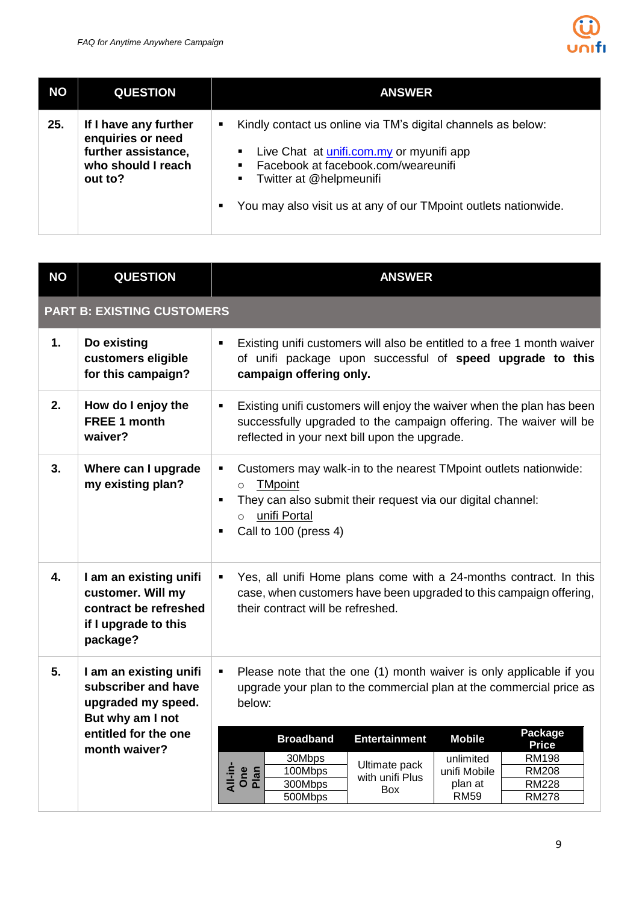

| <b>NO</b> | <b>QUESTION</b>                                                                                    | <b>ANSWER</b>                                                                                                                                                                                                                                                                                                     |
|-----------|----------------------------------------------------------------------------------------------------|-------------------------------------------------------------------------------------------------------------------------------------------------------------------------------------------------------------------------------------------------------------------------------------------------------------------|
| 25.       | If I have any further<br>enquiries or need<br>further assistance,<br>who should I reach<br>out to? | Kindly contact us online via TM's digital channels as below:<br>٠<br>Live Chat at <i>unifi.com.my</i> or myunifi app<br>$\blacksquare$<br>Facebook at facebook.com/weareunifi<br>$\blacksquare$<br>Twitter at @helpmeunifi<br>$\blacksquare$ .<br>You may also visit us at any of our TMpoint outlets nationwide. |

| <b>NO</b> | <b>QUESTION</b>                                                                                                                  | <b>ANSWER</b>                                                                                                                                                                                                                                                                                                                                                                                                                                                                                         |  |  |  |  |
|-----------|----------------------------------------------------------------------------------------------------------------------------------|-------------------------------------------------------------------------------------------------------------------------------------------------------------------------------------------------------------------------------------------------------------------------------------------------------------------------------------------------------------------------------------------------------------------------------------------------------------------------------------------------------|--|--|--|--|
|           | <b>PART B: EXISTING CUSTOMERS</b>                                                                                                |                                                                                                                                                                                                                                                                                                                                                                                                                                                                                                       |  |  |  |  |
| 1.        | Do existing<br>customers eligible<br>for this campaign?                                                                          | Existing unifi customers will also be entitled to a free 1 month waiver<br>٠<br>of unifi package upon successful of speed upgrade to this<br>campaign offering only.                                                                                                                                                                                                                                                                                                                                  |  |  |  |  |
| 2.        | How do I enjoy the<br><b>FREE 1 month</b><br>waiver?                                                                             | Existing unifi customers will enjoy the waiver when the plan has been<br>$\blacksquare$<br>successfully upgraded to the campaign offering. The waiver will be<br>reflected in your next bill upon the upgrade.                                                                                                                                                                                                                                                                                        |  |  |  |  |
| 3.        | Where can I upgrade<br>my existing plan?                                                                                         | Customers may walk-in to the nearest TMpoint outlets nationwide:<br>٠<br><b>TMpoint</b><br>$\circ$<br>They can also submit their request via our digital channel:<br>٠<br>unifi Portal<br>$\Omega$<br>Call to 100 (press 4)<br>٠                                                                                                                                                                                                                                                                      |  |  |  |  |
| 4.        | I am an existing unifi<br>customer. Will my<br>contract be refreshed<br>if I upgrade to this<br>package?                         | Yes, all unifi Home plans come with a 24-months contract. In this<br>$\blacksquare$<br>case, when customers have been upgraded to this campaign offering,<br>their contract will be refreshed.                                                                                                                                                                                                                                                                                                        |  |  |  |  |
| 5.        | I am an existing unifi<br>subscriber and have<br>upgraded my speed.<br>But why am I not<br>entitled for the one<br>month waiver? | Please note that the one (1) month waiver is only applicable if you<br>$\blacksquare$<br>upgrade your plan to the commercial plan at the commercial price as<br>below:<br>Package<br><b>Broadband</b><br><b>Entertainment</b><br><b>Mobile</b><br><b>Price</b><br>30Mbps<br><b>RM198</b><br>unlimited<br>Ultimate pack<br>All-in-<br>100Mbps<br><b>RM208</b><br>unifi Mobile<br>One<br>Plan<br>with unifi Plus<br>300Mbps<br><b>RM228</b><br>plan at<br>Box<br><b>RM59</b><br>500Mbps<br><b>RM278</b> |  |  |  |  |